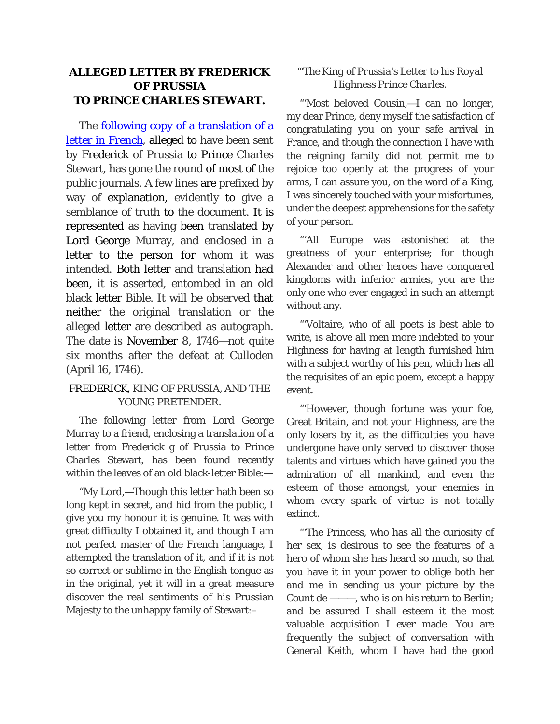## **ALLEGED LETTER BY FREDERICK OF PRUSSIA TO PRINCE CHARLES STEWART.**

The [following copy of a translation of a](https://books.google.com/books/content?id=HPcN7s4ZHM4C&pg=PA117&img=1&zoom=3&hl=en&sig=ACfU3U3haK4iH15XpDkH0Of0OGkQkL4fvg&ci=19%2C688%2C439%2C660&edge=0)  [letter in French,](https://books.google.com/books/content?id=HPcN7s4ZHM4C&pg=PA117&img=1&zoom=3&hl=en&sig=ACfU3U3haK4iH15XpDkH0Of0OGkQkL4fvg&ci=19%2C688%2C439%2C660&edge=0) alleged to have been sent by Frederick of Prussia to Prince Charles Stewart, has gone the round of most of the public journals. A few lines are prefixed by way of explanation, evidently to give a semblance of truth to the document. It is represented as having been translated by Lord George Murray, and enclosed in a letter to the person for whom it was intended. Both letter and translation had been, it is asserted, entombed in an old black letter Bible. It will be observed that neither the original translation or the alleged letter are described as autograph. The date is November 8, 1746—not quite six months after the defeat at Culloden (April 16, 1746).

## FREDERICK, KING OF PRUSSIA, AND THE YOUNG PRETENDER.

The following letter from Lord George Murray to a friend, enclosing a translation of a letter from Frederick g of Prussia to Prince Charles Stewart, has been found recently within the leaves of an old black-letter Bible:—

"My Lord,—Though this letter hath been so long kept in secret, and hid from the public, I give you my honour it is genuine. It was with great difficulty I obtained it, and though I am not perfect master of the French language, I attempted the translation of it, and if it is not so correct or sublime in the English tongue as in the original, yet it will in a great measure discover the real sentiments of his Prussian Majesty to the unhappy family of Stewart:–

## *"'The King of Prussia's Letter to his Royal Highness Prince Charles.*

"'Most beloved Cousin,—I can no longer, my dear Prince, deny myself the satisfaction of congratulating you on your safe arrival in France, and though the connection I have with the reigning family did not permit me to rejoice too openly at the progress of your arms, I can assure you, on the word of a King, I was sincerely touched with your misfortunes, under the deepest apprehensions for the safety of your person.

"'All Europe was astonished at the greatness of your enterprise; for though Alexander and other heroes have conquered kingdoms with inferior armies, you are the only one who ever engaged in such an attempt without any.

"'Voltaire, who of all poets is best able to write, is above all men more indebted to your Highness for having at length furnished him with a subject worthy of his pen, which has all the requisites of an epic poem, except a happy event.

"'However, though fortune was your foe, Great Britain, and not your Highness, are the only losers by it, as the difficulties you have undergone have only served to discover those talents and virtues which have gained you the admiration of all mankind, and even the esteem of those amongst, your enemies in whom every spark of virtue is not totally extinct.

"'The Princess, who has all the curiosity of her sex, is desirous to see the features of a hero of whom she has heard so much, so that you have it in your power to oblige both her and me in sending us your picture by the Count de ———, who is on his return to Berlin; and be assured I shall esteem it the most valuable acquisition I ever made. You are frequently the subject of conversation with General Keith, whom I have had the good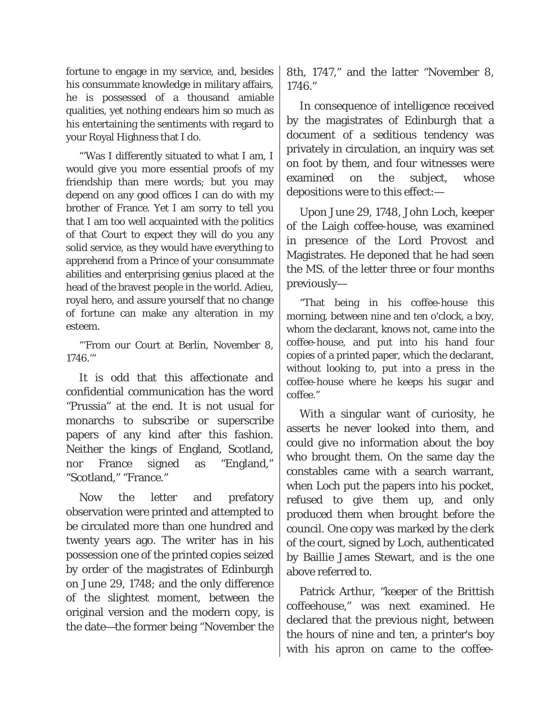fortune to engage in my service, and, besides his consummate knowledge in military affairs, he is possessed of a thousand amiable qualities, yet nothing endears him so much as his entertaining the sentiments with regard to your Royal Highness that I do.

"'Was I differently situated to what I am, I would give you more essential proofs of my friendship than mere words; but you may depend on any good offices I can do with my brother of France. Yet I am sorry to tell you that I am too well acquainted with the politics of that Court to expect they will do you any solid service, as they would have everything to apprehend from a Prince of your consummate abilities and enterprising genius placed at the head of the bravest people in the world. Adieu, royal hero, and assure yourself that no change of fortune can make any alteration in my esteem.

"'From our Court at Berlin, November 8,

It is odd that this affectionate and confidential communication has the word "Prussia" at the end. It is not usual for monarchs to subscribe or superscribe papers of any kind after this fashion. Neither the kings of England, Scotland, nor France signed as "England," "Scotland," "France."

Now the letter and prefatory observation were printed and attempted to be circulated more than one hundred and twenty years ago. The writer has in his possession one of the printed copies seized by order of the magistrates of Edinburgh on June 29, 1748; and the only difference of the slightest moment, between the original version and the modern copy, is the date—the former being "November the 8th, 1747," and the latter "November 8, 1746."

In consequence of intelligence received by the magistrates of Edinburgh that a document of a seditious tendency was privately in circulation, an inquiry was set on foot by them, and four witnesses were examined on the subject, whose depositions were to this effect:—

Upon June 29, 1748, John Loch, keeper of the Laigh coffee-house, was examined in presence of the Lord Provost and Magistrates. He deponed that he had seen the MS. of the letter three or four months previously—

1746." PRUSSIAN COPIES OF a printed paper, which the declarant, "That being in his coffee-house this morning, between nine and ten o'clock, a boy, whom the declarant, knows not, came into the coffee-house, and put into his hand four without looking to, put into a press in the coffee-house where he keeps his sugar and coffee."

> With a singular want of curiosity, he asserts he never looked into them, and could give no information about the boy who brought them. On the same day the constables came with a search warrant, when Loch put the papers into his pocket, refused to give them up, and only produced them when brought before the council. One copy was marked by the clerk of the court, signed by Loch, authenticated by Baillie James Stewart, and is the one above referred to.

> Patrick Arthur, "keeper of the Brittish coffeehouse," was next examined. He declared that the previous night, between the hours of nine and ten, a printer's boy with his apron on came to the coffee